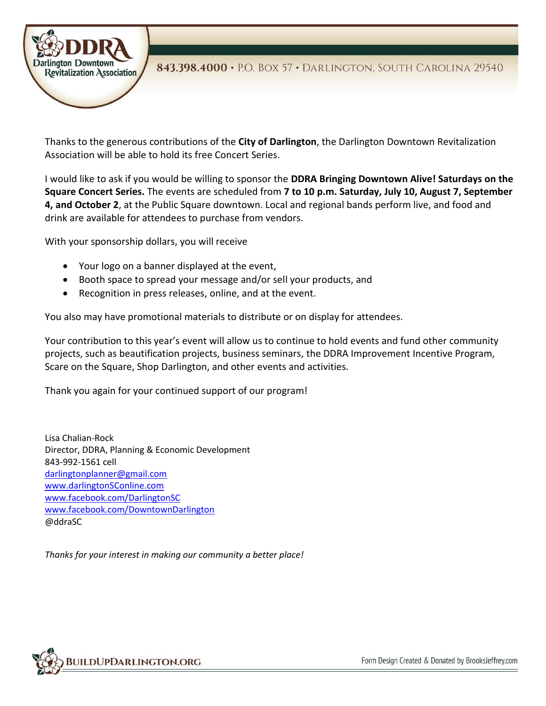

Thanks to the generous contributions of the **City of Darlington**, the Darlington Downtown Revitalization Association will be able to hold its free Concert Series.

I would like to ask if you would be willing to sponsor the **DDRA Bringing Downtown Alive! Saturdays on the Square Concert Series.** The events are scheduled from **7 to 10 p.m. Saturday, July 10, August 7, September 4, and October 2**, at the Public Square downtown. Local and regional bands perform live, and food and drink are available for attendees to purchase from vendors.

With your sponsorship dollars, you will receive

- Your logo on a banner displayed at the event,
- Booth space to spread your message and/or sell your products, and
- Recognition in press releases, online, and at the event.

You also may have promotional materials to distribute or on display for attendees.

Your contribution to this year's event will allow us to continue to hold events and fund other community projects, such as beautification projects, business seminars, the DDRA Improvement Incentive Program, Scare on the Square, Shop Darlington, and other events and activities.

Thank you again for your continued support of our program!

Lisa Chalian-Rock Director, DDRA, Planning & Economic Development 843-992-1561 cell [darlingtonplanner@gmail.com](mailto:darlingtonplanner@gmail.com) [www.darlingtonSConline.com](http://www.darlingtonsconline.com/) [www.facebook.com/DarlingtonSC](http://www.facebook.com/DarlingtonSC) [www.facebook.com/DowntownDarlington](http://www.facebook.com/DowntownDarlington) @ddraSC

*Thanks for your interest in making our community a better place!*